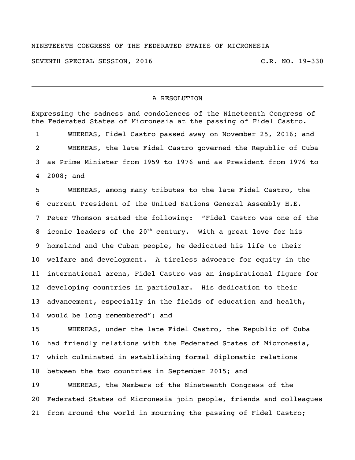## NINETEENTH CONGRESS OF THE FEDERATED STATES OF MICRONESIA

SEVENTH SPECIAL SESSION, 2016 C.R. NO. 19-330

## A RESOLUTION

Expressing the sadness and condolences of the Nineteenth Congress of the Federated States of Micronesia at the passing of Fidel Castro. WHEREAS, Fidel Castro passed away on November 25, 2016; and WHEREAS, the late Fidel Castro governed the Republic of Cuba as Prime Minister from 1959 to 1976 and as President from 1976 to 2008; and

 WHEREAS, among many tributes to the late Fidel Castro, the current President of the United Nations General Assembly H.E. Peter Thomson stated the following: "Fidel Castro was one of the 8 iconic leaders of the  $20<sup>th</sup>$  century. With a great love for his homeland and the Cuban people, he dedicated his life to their welfare and development. A tireless advocate for equity in the international arena, Fidel Castro was an inspirational figure for developing countries in particular. His dedication to their advancement, especially in the fields of education and health, would be long remembered"; and

 WHEREAS, under the late Fidel Castro, the Republic of Cuba had friendly relations with the Federated States of Micronesia, which culminated in establishing formal diplomatic relations between the two countries in September 2015; and

 WHEREAS, the Members of the Nineteenth Congress of the Federated States of Micronesia join people, friends and colleagues from around the world in mourning the passing of Fidel Castro;